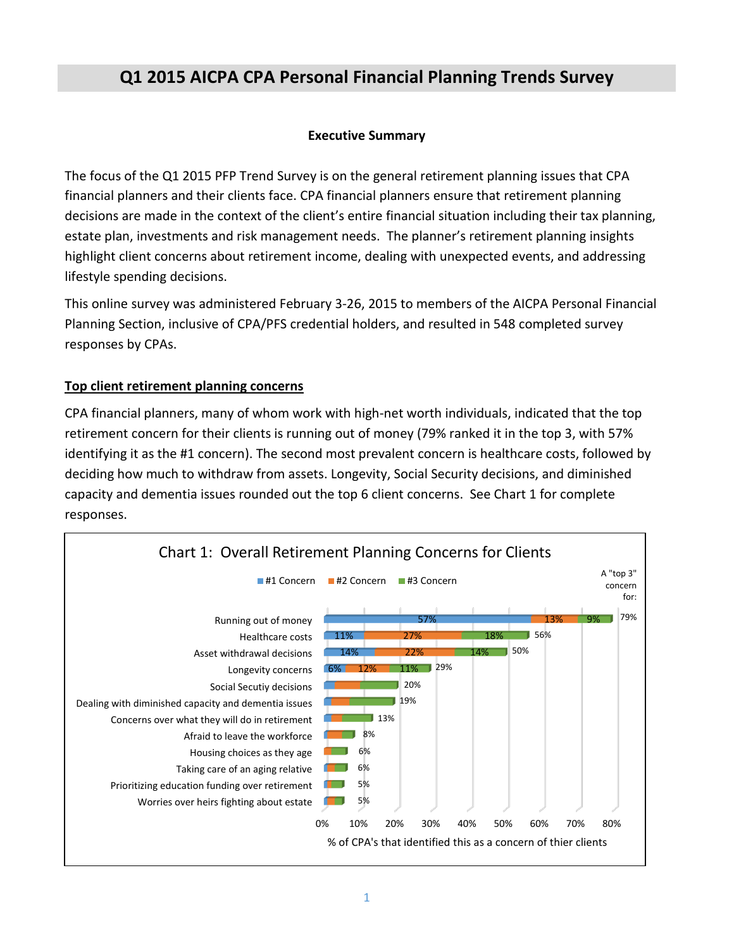# **Q1 2015 AICPA CPA Personal Financial Planning Trends Survey**

#### **Executive Summary**

The focus of the Q1 2015 PFP Trend Survey is on the general retirement planning issues that CPA financial planners and their clients face. CPA financial planners ensure that retirement planning decisions are made in the context of the client's entire financial situation including their tax planning, estate plan, investments and risk management needs. The planner's retirement planning insights highlight client concerns about retirement income, dealing with unexpected events, and addressing lifestyle spending decisions.

This online survey was administered February 3-26, 2015 to members of the AICPA Personal Financial Planning Section, inclusive of CPA/PFS credential holders, and resulted in 548 completed survey responses by CPAs.

#### **Top client retirement planning concerns**

CPA financial planners, many of whom work with high-net worth individuals, indicated that the top retirement concern for their clients is running out of money (79% ranked it in the top 3, with 57% identifying it as the #1 concern). The second most prevalent concern is healthcare costs, followed by deciding how much to withdraw from assets. Longevity, Social Security decisions, and diminished capacity and dementia issues rounded out the top 6 client concerns. See Chart 1 for complete responses.

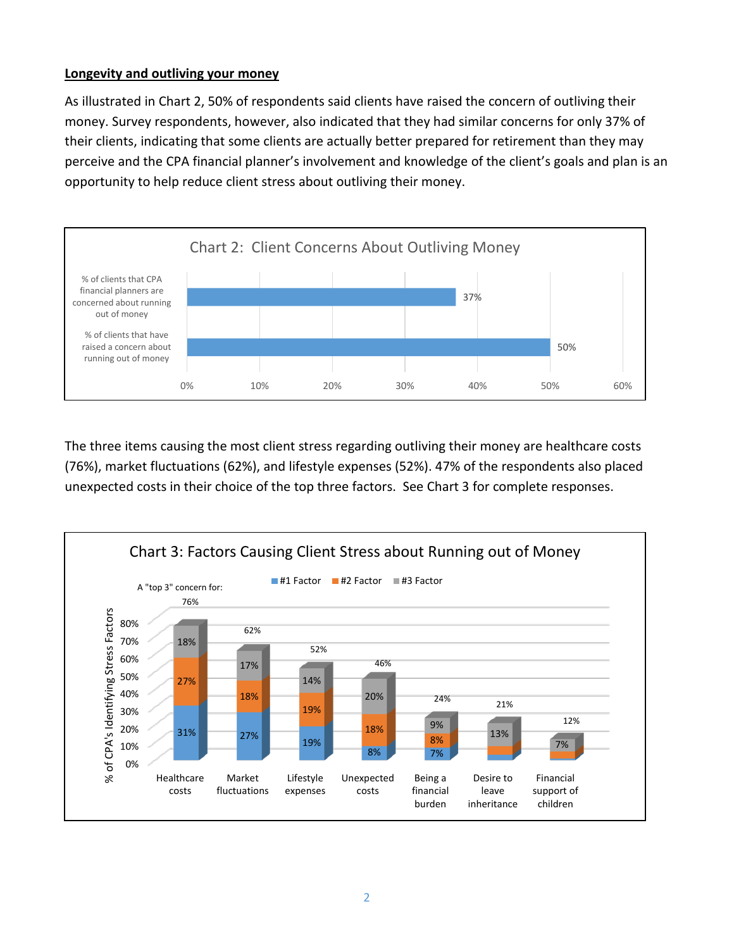#### **Longevity and outliving your money**

As illustrated in Chart 2, 50% of respondents said clients have raised the concern of outliving their money. Survey respondents, however, also indicated that they had similar concerns for only 37% of their clients, indicating that some clients are actually better prepared for retirement than they may perceive and the CPA financial planner's involvement and knowledge of the client's goals and plan is an opportunity to help reduce client stress about outliving their money.



The three items causing the most client stress regarding outliving their money are healthcare costs (76%), market fluctuations (62%), and lifestyle expenses (52%). 47% of the respondents also placed unexpected costs in their choice of the top three factors. See Chart 3 for complete responses.

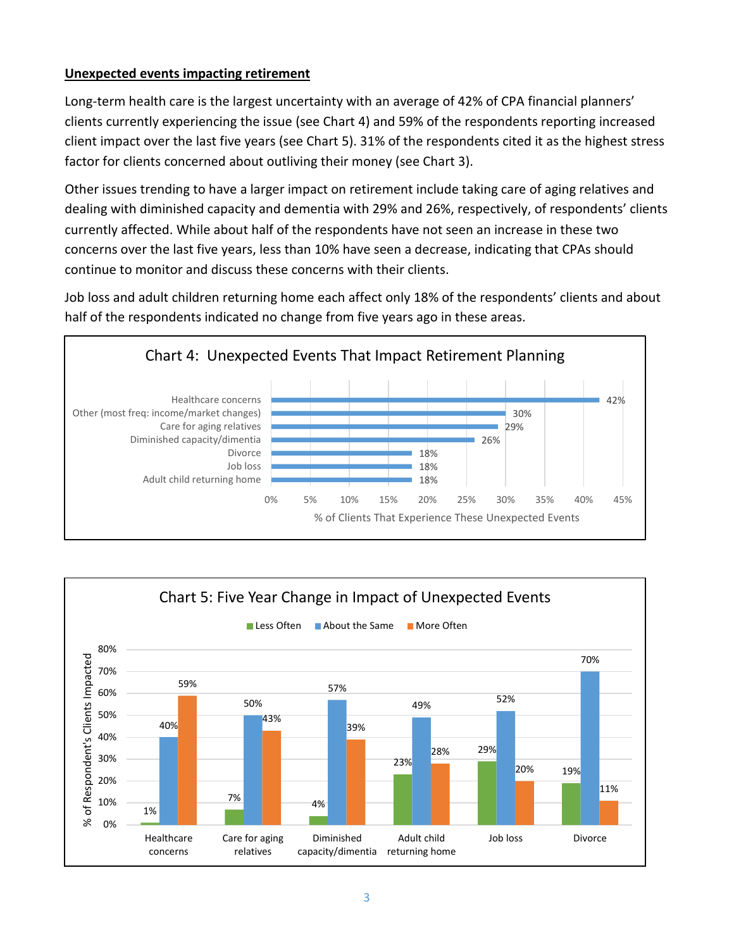## **Unexpected events impacting retirement**

Long-term health care is the largest uncertainty with an average of 42% of CPA financial planners' clients currently experiencing the issue (see Chart 4) and 59% of the respondents reporting increased client impact over the last five years (see Chart 5). 31% of the respondents cited it as the highest stress factor for clients concerned about outliving their money (see Chart 3).

Other issues trending to have a larger impact on retirement include taking care of aging relatives and dealing with diminished capacity and dementia with 29% and 26%, respectively, of respondents' clients currently affected. While about half of the respondents have not seen an increase in these two concerns over the last five years, less than 10% have seen a decrease, indicating that CPAs should continue to monitor and discuss these concerns with their clients.

Job loss and adult children returning home each affect only 18% of the respondents' clients and about half of the respondents indicated no change from five years ago in these areas.



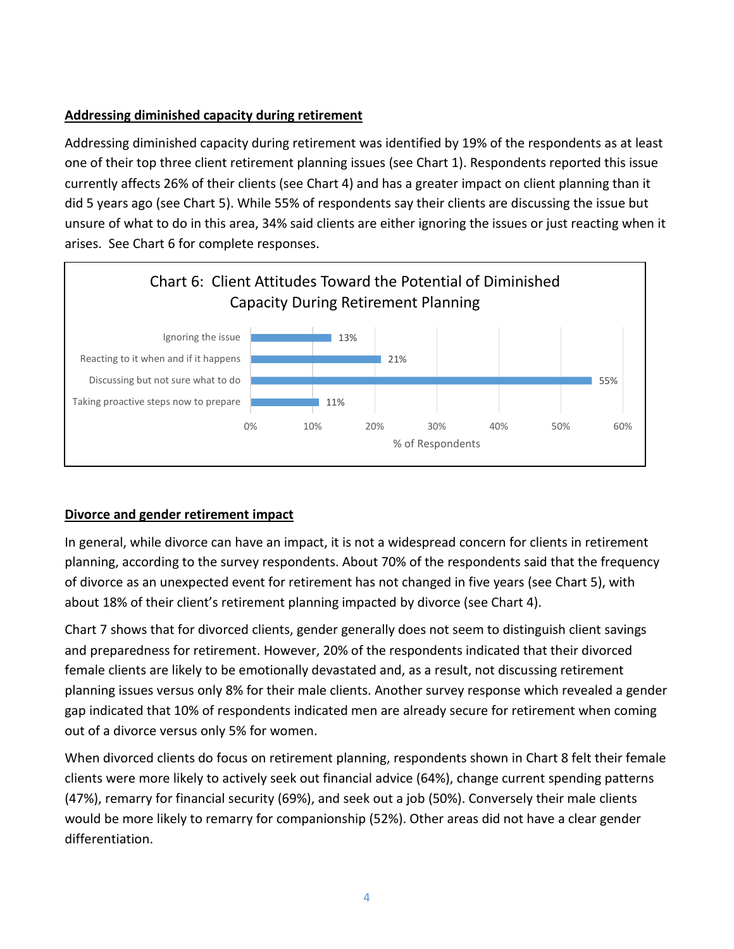# **Addressing diminished capacity during retirement**

Addressing diminished capacity during retirement was identified by 19% of the respondents as at least one of their top three client retirement planning issues (see Chart 1). Respondents reported this issue currently affects 26% of their clients (see Chart 4) and has a greater impact on client planning than it did 5 years ago (see Chart 5). While 55% of respondents say their clients are discussing the issue but unsure of what to do in this area, 34% said clients are either ignoring the issues or just reacting when it arises. See Chart 6 for complete responses.



## **Divorce and gender retirement impact**

In general, while divorce can have an impact, it is not a widespread concern for clients in retirement planning, according to the survey respondents. About 70% of the respondents said that the frequency of divorce as an unexpected event for retirement has not changed in five years (see Chart 5), with about 18% of their client's retirement planning impacted by divorce (see Chart 4).

Chart 7 shows that for divorced clients, gender generally does not seem to distinguish client savings and preparedness for retirement. However, 20% of the respondents indicated that their divorced female clients are likely to be emotionally devastated and, as a result, not discussing retirement planning issues versus only 8% for their male clients. Another survey response which revealed a gender gap indicated that 10% of respondents indicated men are already secure for retirement when coming out of a divorce versus only 5% for women.

When divorced clients do focus on retirement planning, respondents shown in Chart 8 felt their female clients were more likely to actively seek out financial advice (64%), change current spending patterns (47%), remarry for financial security (69%), and seek out a job (50%). Conversely their male clients would be more likely to remarry for companionship (52%). Other areas did not have a clear gender differentiation.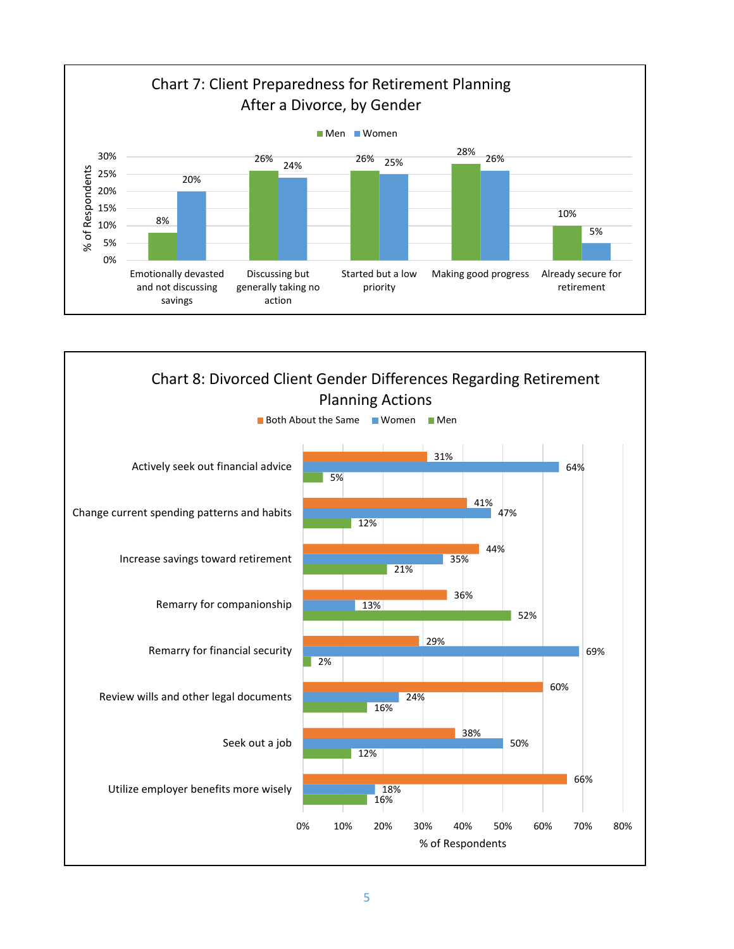

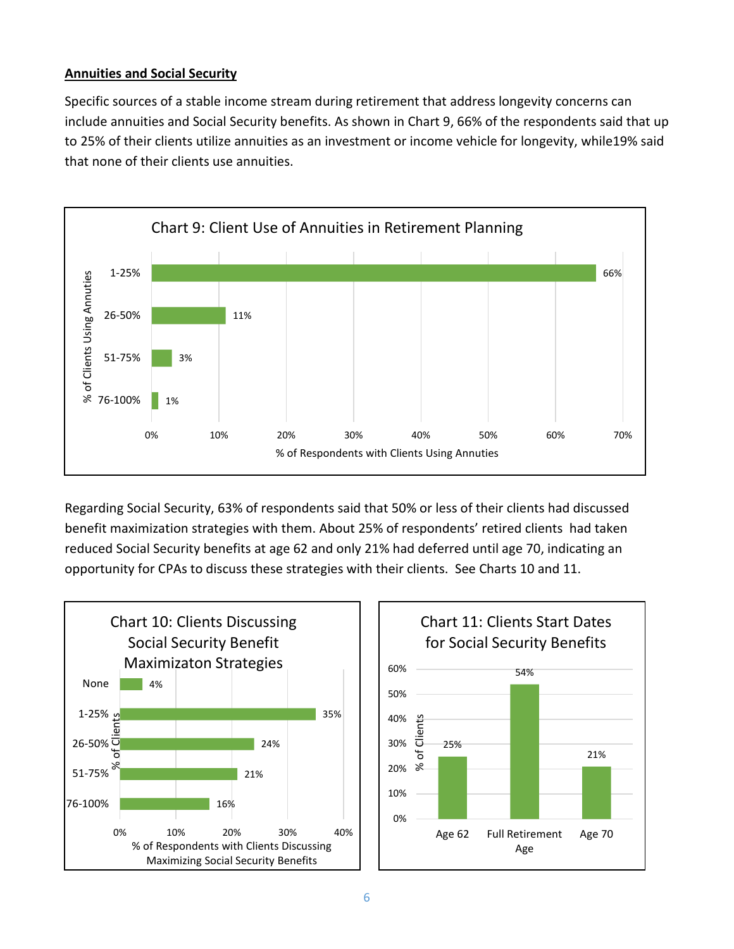## **Annuities and Social Security**

Specific sources of a stable income stream during retirement that address longevity concerns can include annuities and Social Security benefits. As shown in Chart 9, 66% of the respondents said that up to 25% of their clients utilize annuities as an investment or income vehicle for longevity, while19% said that none of their clients use annuities.



Regarding Social Security, 63% of respondents said that 50% or less of their clients had discussed benefit maximization strategies with them. About 25% of respondents' retired clients had taken reduced Social Security benefits at age 62 and only 21% had deferred until age 70, indicating an opportunity for CPAs to discuss these strategies with their clients. See Charts 10 and 11.